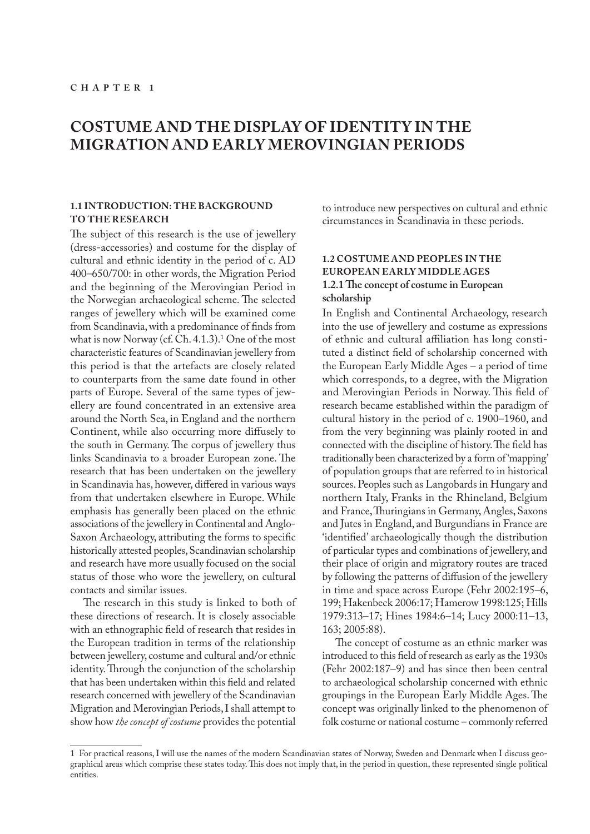# **COSTUME AND THE DISPLAY OF IDENTITY IN THE MIGRATION AND EARLY MEROVINGIAN PERIODS**

#### **1.1 INTRODUCTION: THE BACKGROUND TO THE RESEARCH**

The subject of this research is the use of jewellery (dress-accessories) and costume for the display of cultural and ethnic identity in the period of c. AD 400–650/700: in other words, the Migration Period and the beginning of the Merovingian Period in the Norwegian archaeological scheme. The selected ranges of jewellery which will be examined come from Scandinavia, with a predominance of finds from what is now Norway (cf. Ch. 4.1.3). $<sup>1</sup>$  One of the most</sup> characteristic features of Scandinavian jewellery from this period is that the artefacts are closely related to counterparts from the same date found in other parts of Europe. Several of the same types of jewellery are found concentrated in an extensive area around the North Sea, in England and the northern Continent, while also occurring more diffusely to the south in Germany. The corpus of jewellery thus links Scandinavia to a broader European zone. The research that has been undertaken on the jewellery in Scandinavia has, however, differed in various ways from that undertaken elsewhere in Europe. While emphasis has generally been placed on the ethnic associations of the jewellery in Continental and Anglo-Saxon Archaeology, attributing the forms to specific historically attested peoples, Scandinavian scholarship and research have more usually focused on the social status of those who wore the jewellery, on cultural contacts and similar issues.

The research in this study is linked to both of these directions of research. It is closely associable with an ethnographic field of research that resides in the European tradition in terms of the relationship between jewellery, costume and cultural and/or ethnic identity. Through the conjunction of the scholarship that has been undertaken within this field and related research concerned with jewellery of the Scandinavian Migration and Merovingian Periods, I shall attempt to show how *the concept of costume* provides the potential

to introduce new perspectives on cultural and ethnic circumstances in Scandinavia in these periods.

## **1.2 COSTUME AND PEOPLES IN THE EUROPEAN EARLY MIDDLE AGES 1.2.1 The concept of costume in European scholarship**

In English and Continental Archaeology, research into the use of jewellery and costume as expressions of ethnic and cultural affiliation has long constituted a distinct field of scholarship concerned with the European Early Middle Ages – a period of time which corresponds, to a degree, with the Migration and Merovingian Periods in Norway. This field of research became established within the paradigm of cultural history in the period of c. 1900–1960, and from the very beginning was plainly rooted in and connected with the discipline of history. The field has traditionally been characterized by a form of 'mapping' of population groups that are referred to in historical sources. Peoples such as Langobards in Hungary and northern Italy, Franks in the Rhineland, Belgium and France, Thuringians in Germany, Angles, Saxons and Jutes in England, and Burgundians in France are 'identified' archaeologically though the distribution of particular types and combinations of jewellery, and their place of origin and migratory routes are traced by following the patterns of diffusion of the jewellery in time and space across Europe (Fehr 2002:195–6, 199; Hakenbeck 2006:17; Hamerow 1998:125; Hills 1979:313–17; Hines 1984:6–14; Lucy 2000:11–13, 163; 2005:88).

The concept of costume as an ethnic marker was introduced to this field of research as early as the 1930s (Fehr 2002:187–9) and has since then been central to archaeological scholarship concerned with ethnic groupings in the European Early Middle Ages. The concept was originally linked to the phenomenon of folk costume or national costume – commonly referred

<sup>1</sup> For practical reasons, I will use the names of the modern Scandinavian states of Norway, Sweden and Denmark when I discuss geographical areas which comprise these states today. This does not imply that, in the period in question, these represented single political entities.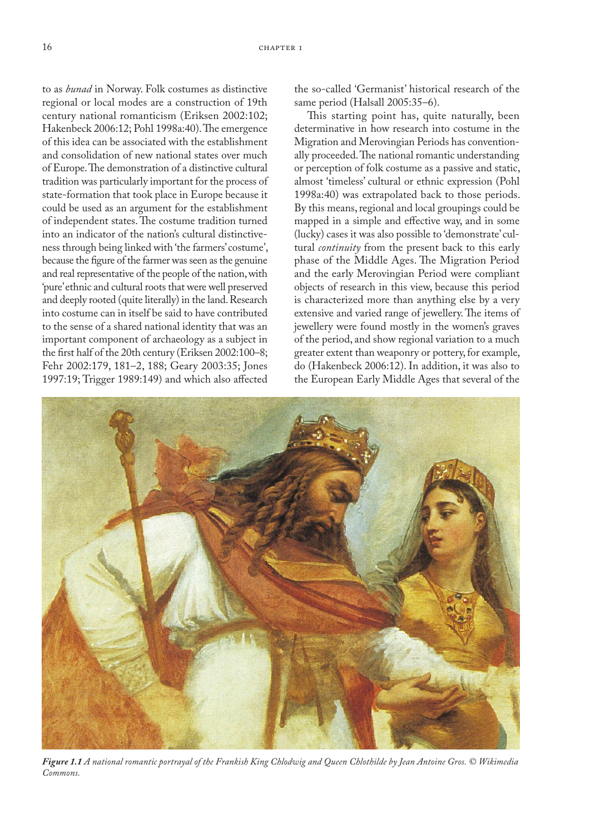to as *bunad* in Norway. Folk costumes as distinctive regional or local modes are a construction of 19th century national romanticism (Eriksen 2002:102; Hakenbeck 2006:12; Pohl 1998a:40). The emergence of this idea can be associated with the establishment and consolidation of new national states over much of Europe. The demonstration of a distinctive cultural tradition was particularly important for the process of state-formation that took place in Europe because it could be used as an argument for the establishment of independent states. The costume tradition turned into an indicator of the nation's cultural distinctiveness through being linked with 'the farmers' costume', because the figure of the farmer was seen as the genuine and real representative of the people of the nation, with 'pure' ethnic and cultural roots that were well preserved and deeply rooted (quite literally) in the land. Research into costume can in itself be said to have contributed to the sense of a shared national identity that was an important component of archaeology as a subject in the first half of the 20th century (Eriksen 2002:100–8; Fehr 2002:179, 181–2, 188; Geary 2003:35; Jones 1997:19; Trigger 1989:149) and which also affected the so-called 'Germanist' historical research of the same period (Halsall 2005:35–6).

This starting point has, quite naturally, been determinative in how research into costume in the Migration and Merovingian Periods has conventionally proceeded. The national romantic understanding or perception of folk costume as a passive and static, almost 'timeless' cultural or ethnic expression (Pohl 1998a:40) was extrapolated back to those periods. By this means, regional and local groupings could be mapped in a simple and effective way, and in some (lucky) cases it was also possible to 'demonstrate' cultural *continuity* from the present back to this early phase of the Middle Ages. The Migration Period and the early Merovingian Period were compliant objects of research in this view, because this period is characterized more than anything else by a very extensive and varied range of jewellery. The items of jewellery were found mostly in the women's graves of the period, and show regional variation to a much greater extent than weaponry or pottery, for example, do (Hakenbeck 2006:12). In addition, it was also to the European Early Middle Ages that several of the



*Figure 1.1 A national romantic portrayal of the Frankish King Chlodwig and Queen Chlothilde by Jean Antoine Gros. © Wikimedia Commons.*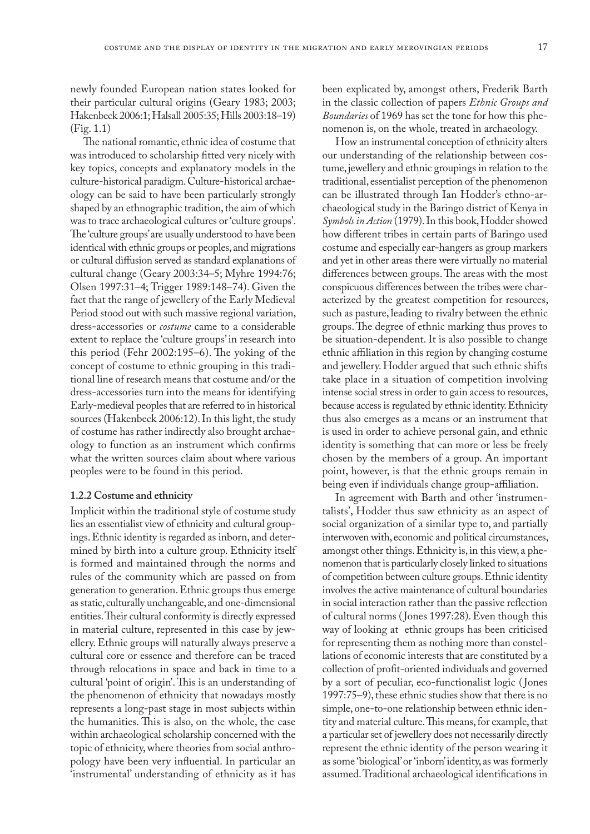newly founded European nation states looked for their particular cultural origins (Geary 1983; 2003; Hakenbeck 2006:1; Halsall 2005:35; Hills 2003:18–19) (Fig. 1.1)

The national romantic, ethnic idea of costume that was introduced to scholarship fitted very nicely with key topics, concepts and explanatory models in the culture-historical paradigm. Culture-historical archaeology can be said to have been particularly strongly shaped by an ethnographic tradition, the aim of which was to trace archaeological cultures or 'culture groups'. The 'culture groups' are usually understood to have been identical with ethnic groups or peoples, and migrations or cultural diffusion served as standard explanations of cultural change (Geary 2003:34–5; Myhre 1994:76; Olsen 1997:31–4; Trigger 1989:148–74). Given the fact that the range of jewellery of the Early Medieval Period stood out with such massive regional variation, dress-accessories or *costume* came to a considerable extent to replace the 'culture groups' in research into this period (Fehr 2002:195–6). The yoking of the concept of costume to ethnic grouping in this traditional line of research means that costume and/or the dress-accessories turn into the means for identifying Early-medieval peoples that are referred to in historical sources (Hakenbeck 2006:12). In this light, the study of costume has rather indirectly also brought archaeology to function as an instrument which confirms what the written sources claim about where various peoples were to be found in this period.

#### **1.2.2 Costume and ethnicity**

Implicit within the traditional style of costume study lies an essentialist view of ethnicity and cultural groupings. Ethnic identity is regarded as inborn, and determined by birth into a culture group. Ethnicity itself is formed and maintained through the norms and rules of the community which are passed on from generation to generation. Ethnic groups thus emerge as static, culturally unchangeable, and one-dimensional entities. Their cultural conformity is directly expressed in material culture, represented in this case by jewellery. Ethnic groups will naturally always preserve a cultural core or essence and therefore can be traced through relocations in space and back in time to a cultural 'point of origin'. This is an understanding of the phenomenon of ethnicity that nowadays mostly represents a long-past stage in most subjects within the humanities. This is also, on the whole, the case within archaeological scholarship concerned with the topic of ethnicity, where theories from social anthropology have been very influential. In particular an 'instrumental' understanding of ethnicity as it has

been explicated by, amongst others, Frederik Barth in the classic collection of papers *Ethnic Groups and Boundaries* of 1969 has set the tone for how this phenomenon is, on the whole, treated in archaeology.

How an instrumental conception of ethnicity alters our understanding of the relationship between costume, jewellery and ethnic groupings in relation to the traditional, essentialist perception of the phenomenon can be illustrated through Ian Hodder's ethno-archaeological study in the Baringo district of Kenya in *Symbols in Action* (1979). In this book, Hodder showed how different tribes in certain parts of Baringo used costume and especially ear-hangers as group markers and yet in other areas there were virtually no material differences between groups. The areas with the most conspicuous differences between the tribes were characterized by the greatest competition for resources, such as pasture, leading to rivalry between the ethnic groups. The degree of ethnic marking thus proves to be situation-dependent. It is also possible to change ethnic affiliation in this region by changing costume and jewellery. Hodder argued that such ethnic shifts take place in a situation of competition involving intense social stress in order to gain access to resources, because access is regulated by ethnic identity. Ethnicity thus also emerges as a means or an instrument that is used in order to achieve personal gain, and ethnic identity is something that can more or less be freely chosen by the members of a group. An important point, however, is that the ethnic groups remain in being even if individuals change group-affiliation.

In agreement with Barth and other 'instrumentalists', Hodder thus saw ethnicity as an aspect of social organization of a similar type to, and partially interwoven with, economic and political circumstances, amongst other things. Ethnicity is, in this view, a phenomenon that is particularly closely linked to situations of competition between culture groups. Ethnic identity involves the active maintenance of cultural boundaries in social interaction rather than the passive reflection of cultural norms ( Jones 1997:28). Even though this way of looking at ethnic groups has been criticised for representing them as nothing more than constellations of economic interests that are constituted by a collection of profit-oriented individuals and governed by a sort of peculiar, eco-functionalist logic ( Jones 1997:75–9), these ethnic studies show that there is no simple, one-to-one relationship between ethnic identity and material culture. This means, for example, that a particular set of jewellery does not necessarily directly represent the ethnic identity of the person wearing it as some 'biological' or 'inborn' identity, as was formerly assumed. Traditional archaeological identifications in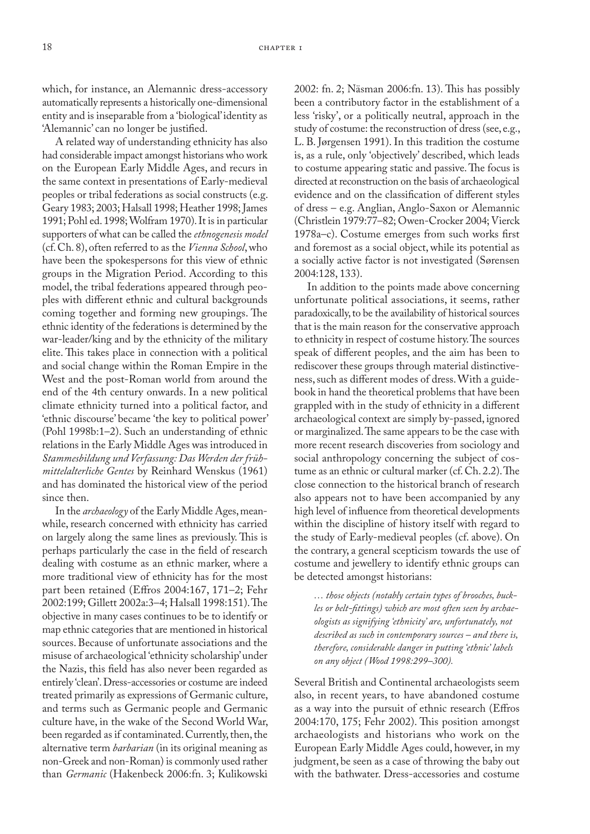which, for instance, an Alemannic dress-accessory automatically represents a historically one-dimensional entity and is inseparable from a 'biological' identity as 'Alemannic' can no longer be justified.

A related way of understanding ethnicity has also had considerable impact amongst historians who work on the European Early Middle Ages, and recurs in the same context in presentations of Early-medieval peoples or tribal federations as social constructs (e.g. Geary 1983; 2003; Halsall 1998; Heather 1998; James 1991; Pohl ed. 1998; Wolfram 1970). It is in particular supporters of what can be called the *ethnogenesis model* (cf. Ch. 8), often referred to as the *Vienna School*, who have been the spokespersons for this view of ethnic groups in the Migration Period. According to this model, the tribal federations appeared through peoples with different ethnic and cultural backgrounds coming together and forming new groupings. The ethnic identity of the federations is determined by the war-leader/king and by the ethnicity of the military elite. This takes place in connection with a political and social change within the Roman Empire in the West and the post-Roman world from around the end of the 4th century onwards. In a new political climate ethnicity turned into a political factor, and 'ethnic discourse' became 'the key to political power' (Pohl 1998b:1–2). Such an understanding of ethnic relations in the Early Middle Ages was introduced in *Stammesbildung und Verfassung: Das Werden der frühmittelalterliche Gentes* by Reinhard Wenskus (1961) and has dominated the historical view of the period since then.

In the *archaeology* of the Early Middle Ages, meanwhile, research concerned with ethnicity has carried on largely along the same lines as previously. This is perhaps particularly the case in the field of research dealing with costume as an ethnic marker, where a more traditional view of ethnicity has for the most part been retained (Effros 2004:167, 171–2; Fehr 2002:199; Gillett 2002a:3–4; Halsall 1998:151). The objective in many cases continues to be to identify or map ethnic categories that are mentioned in historical sources. Because of unfortunate associations and the misuse of archaeological 'ethnicity scholarship' under the Nazis, this field has also never been regarded as entirely 'clean'. Dress-accessories or costume are indeed treated primarily as expressions of Germanic culture, and terms such as Germanic people and Germanic culture have, in the wake of the Second World War, been regarded as if contaminated. Currently, then, the alternative term *barbarian* (in its original meaning as non-Greek and non-Roman) is commonly used rather than *Germanic* (Hakenbeck 2006:fn. 3; Kulikowski

2002: fn. 2; Näsman 2006:fn. 13). This has possibly been a contributory factor in the establishment of a less 'risky', or a politically neutral, approach in the study of costume: the reconstruction of dress (see, e.g., L. B. Jørgensen 1991). In this tradition the costume is, as a rule, only 'objectively' described, which leads to costume appearing static and passive. The focus is directed at reconstruction on the basis of archaeological evidence and on the classification of different styles of dress – e.g. Anglian, Anglo-Saxon or Alemannic (Christlein 1979:77–82; Owen-Crocker 2004; Vierck 1978a–c). Costume emerges from such works first and foremost as a social object, while its potential as a socially active factor is not investigated (Sørensen 2004:128, 133).

In addition to the points made above concerning unfortunate political associations, it seems, rather paradoxically, to be the availability of historical sources that is the main reason for the conservative approach to ethnicity in respect of costume history. The sources speak of different peoples, and the aim has been to rediscover these groups through material distinctiveness, such as different modes of dress. With a guidebook in hand the theoretical problems that have been grappled with in the study of ethnicity in a different archaeological context are simply by-passed, ignored or marginalized. The same appears to be the case with more recent research discoveries from sociology and social anthropology concerning the subject of costume as an ethnic or cultural marker (cf. Ch. 2.2). The close connection to the historical branch of research also appears not to have been accompanied by any high level of influence from theoretical developments within the discipline of history itself with regard to the study of Early-medieval peoples (cf. above). On the contrary, a general scepticism towards the use of costume and jewellery to identify ethnic groups can be detected amongst historians:

*… those objects (notably certain types of brooches, buckles or belt-fittings) which are most often seen by archaeologists as signifying 'ethnicity' are, unfortunately, not described as such in contemporary sources – and there is, therefore, considerable danger in putting 'ethnic' labels on any object (Wood 1998:299–300).*

Several British and Continental archaeologists seem also, in recent years, to have abandoned costume as a way into the pursuit of ethnic research (Effros 2004:170, 175; Fehr 2002). This position amongst archaeologists and historians who work on the European Early Middle Ages could, however, in my judgment, be seen as a case of throwing the baby out with the bathwater. Dress-accessories and costume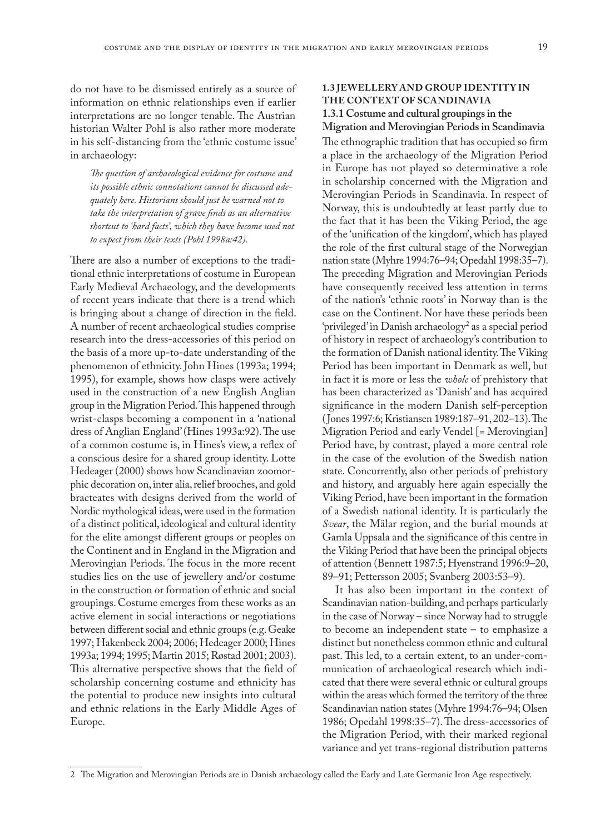do not have to be dismissed entirely as a source of information on ethnic relationships even if earlier interpretations are no longer tenable. The Austrian historian Walter Pohl is also rather more moderate in his self-distancing from the 'ethnic costume issue' in archaeology:

*The question of archaeological evidence for costume and its possible ethnic connotations cannot be discussed adequately here. Historians should just be warned not to take the interpretation of grave finds as an alternative shortcut to 'hard facts', which they have become used not to expect from their texts (Pohl 1998a:42).*

There are also a number of exceptions to the traditional ethnic interpretations of costume in European Early Medieval Archaeology, and the developments of recent years indicate that there is a trend which is bringing about a change of direction in the field. A number of recent archaeological studies comprise research into the dress-accessories of this period on the basis of a more up-to-date understanding of the phenomenon of ethnicity. John Hines (1993a; 1994; 1995), for example, shows how clasps were actively used in the construction of a new English Anglian group in the Migration Period. This happened through wrist-clasps becoming a component in a 'national dress of Anglian England' (Hines 1993a:92). The use of a common costume is, in Hines's view, a reflex of a conscious desire for a shared group identity. Lotte Hedeager (2000) shows how Scandinavian zoomorphic decoration on, inter alia, relief brooches, and gold bracteates with designs derived from the world of Nordic mythological ideas, were used in the formation of a distinct political, ideological and cultural identity for the elite amongst different groups or peoples on the Continent and in England in the Migration and Merovingian Periods. The focus in the more recent studies lies on the use of jewellery and/or costume in the construction or formation of ethnic and social groupings. Costume emerges from these works as an active element in social interactions or negotiations between different social and ethnic groups (e.g. Geake 1997; Hakenbeck 2004; 2006; Hedeager 2000; Hines 1993a; 1994; 1995; Martin 2015; Røstad 2001; 2003). This alternative perspective shows that the field of scholarship concerning costume and ethnicity has the potential to produce new insights into cultural and ethnic relations in the Early Middle Ages of Europe.

### **1.3 JEWELLERY AND GROUP IDENTITY IN THE CONTEXT OF SCANDINAVIA 1.3.1 Costume and cultural groupings in the**

# **Migration and Merovingian Periods in Scandinavia**

The ethnographic tradition that has occupied so firm a place in the archaeology of the Migration Period in Europe has not played so determinative a role in scholarship concerned with the Migration and Merovingian Periods in Scandinavia. In respect of Norway, this is undoubtedly at least partly due to the fact that it has been the Viking Period, the age of the 'unification of the kingdom', which has played the role of the first cultural stage of the Norwegian nation state (Myhre 1994:76–94; Opedahl 1998:35–7). The preceding Migration and Merovingian Periods have consequently received less attention in terms of the nation's 'ethnic roots' in Norway than is the case on the Continent. Nor have these periods been 'privileged' in Danish archaeology<sup>2</sup> as a special period of history in respect of archaeology's contribution to the formation of Danish national identity. The Viking Period has been important in Denmark as well, but in fact it is more or less the *whole* of prehistory that has been characterized as 'Danish' and has acquired significance in the modern Danish self-perception (Jones 1997:6; Kristiansen 1989:187–91, 202–13). The Migration Period and early Vendel [= Merovingian] Period have, by contrast, played a more central role in the case of the evolution of the Swedish nation state. Concurrently, also other periods of prehistory and history, and arguably here again especially the Viking Period, have been important in the formation of a Swedish national identity. It is particularly the *Svear*, the Mälar region, and the burial mounds at Gamla Uppsala and the significance of this centre in the Viking Period that have been the principal objects of attention (Bennett 1987:5; Hyenstrand 1996:9–20, 89–91; Pettersson 2005; Svanberg 2003:53–9).

It has also been important in the context of Scandinavian nation-building, and perhaps particularly in the case of Norway – since Norway had to struggle to become an independent state – to emphasize a distinct but nonetheless common ethnic and cultural past. This led, to a certain extent, to an under-communication of archaeological research which indicated that there were several ethnic or cultural groups within the areas which formed the territory of the three Scandinavian nation states (Myhre 1994:76–94; Olsen 1986; Opedahl 1998:35–7). The dress-accessories of the Migration Period, with their marked regional variance and yet trans-regional distribution patterns

<sup>2</sup> The Migration and Merovingian Periods are in Danish archaeology called the Early and Late Germanic Iron Age respectively.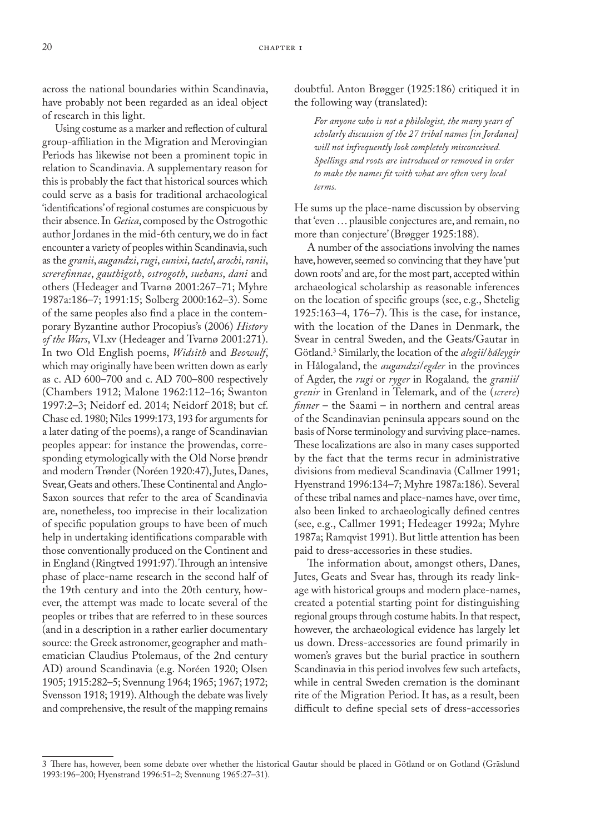across the national boundaries within Scandinavia, have probably not been regarded as an ideal object of research in this light.

Using costume as a marker and reflection of cultural group-affiliation in the Migration and Merovingian Periods has likewise not been a prominent topic in relation to Scandinavia. A supplementary reason for this is probably the fact that historical sources which could serve as a basis for traditional archaeological 'identifications' of regional costumes are conspicuous by their absence. In *Getica*, composed by the Ostrogothic author Jordanes in the mid-6th century, we do in fact encounter a variety of peoples within Scandinavia, such as the *granii*, *augandzi*, *rugi*, *eunixi*, *taetel*, *arochi*, *ranii*, *screrefinnae*, *gauthigoth*, *ostrogoth*, *suehans*, *dani* and others (Hedeager and Tvarnø 2001:267–71; Myhre 1987a:186–7; 1991:15; Solberg 2000:162–3). Some of the same peoples also find a place in the contemporary Byzantine author Procopius's (2006) *History of the Wars*, VI.xv (Hedeager and Tvarnø 2001:271). In two Old English poems, *Widsith* and *Beowulf*, which may originally have been written down as early as c. AD 600–700 and c. AD 700–800 respectively (Chambers 1912; Malone 1962:112–16; Swanton 1997:2–3; Neidorf ed. 2014; Neidorf 2018; but cf. Chase ed. 1980; Niles 1999:173, 193 for arguments for a later dating of the poems), a range of Scandinavian peoples appear: for instance the þrowendas, corresponding etymologically with the Old Norse þrøndr and modern Trønder (Noréen 1920:47), Jutes, Danes, Svear, Geats and others. These Continental and Anglo-Saxon sources that refer to the area of Scandinavia are, nonetheless, too imprecise in their localization of specific population groups to have been of much help in undertaking identifications comparable with those conventionally produced on the Continent and in England (Ringtved 1991:97). Through an intensive phase of place-name research in the second half of the 19th century and into the 20th century, however, the attempt was made to locate several of the peoples or tribes that are referred to in these sources (and in a description in a rather earlier documentary source: the Greek astronomer, geographer and mathematician Claudius Ptolemaus, of the 2nd century AD) around Scandinavia (e.g. Noréen 1920; Olsen 1905; 1915:282–5; Svennung 1964; 1965; 1967; 1972; Svensson 1918; 1919). Although the debate was lively and comprehensive, the result of the mapping remains

doubtful. Anton Brøgger (1925:186) critiqued it in the following way (translated):

*For anyone who is not a philologist, the many years of scholarly discussion of the 27 tribal names [in Jordanes] will not infrequently look completely misconceived. Spellings and roots are introduced or removed in order to make the names fit with what are often very local terms.*

He sums up the place-name discussion by observing that 'even … plausible conjectures are, and remain, no more than conjecture' (Brøgger 1925:188).

A number of the associations involving the names have, however, seemed so convincing that they have 'put down roots' and are, for the most part, accepted within archaeological scholarship as reasonable inferences on the location of specific groups (see, e.g., Shetelig 1925:163–4, 176–7). This is the case, for instance, with the location of the Danes in Denmark, the Svear in central Sweden, and the Geats/Gautar in Götland.3 Similarly, the location of the *alogii*/*háleygir* in Hålogaland, the *augandzi*/*egder* in the provinces of Agder, the *rugi* or *ryger* in Rogaland*,* the *granii*/ *grenir* in Grenland in Telemark, and of the (*screre*) *finner* – the Saami – in northern and central areas of the Scandinavian peninsula appears sound on the basis of Norse terminology and surviving place-names. These localizations are also in many cases supported by the fact that the terms recur in administrative divisions from medieval Scandinavia (Callmer 1991; Hyenstrand 1996:134–7; Myhre 1987a:186). Several of these tribal names and place-names have, over time, also been linked to archaeologically defined centres (see, e.g., Callmer 1991; Hedeager 1992a; Myhre 1987a; Ramqvist 1991). But little attention has been paid to dress-accessories in these studies.

The information about, amongst others, Danes, Jutes, Geats and Svear has, through its ready linkage with historical groups and modern place-names, created a potential starting point for distinguishing regional groups through costume habits. In that respect, however, the archaeological evidence has largely let us down. Dress-accessories are found primarily in women's graves but the burial practice in southern Scandinavia in this period involves few such artefacts, while in central Sweden cremation is the dominant rite of the Migration Period. It has, as a result, been difficult to define special sets of dress-accessories

<sup>3</sup> There has, however, been some debate over whether the historical Gautar should be placed in Götland or on Gotland (Gräslund 1993:196–200; Hyenstrand 1996:51–2; Svennung 1965:27–31).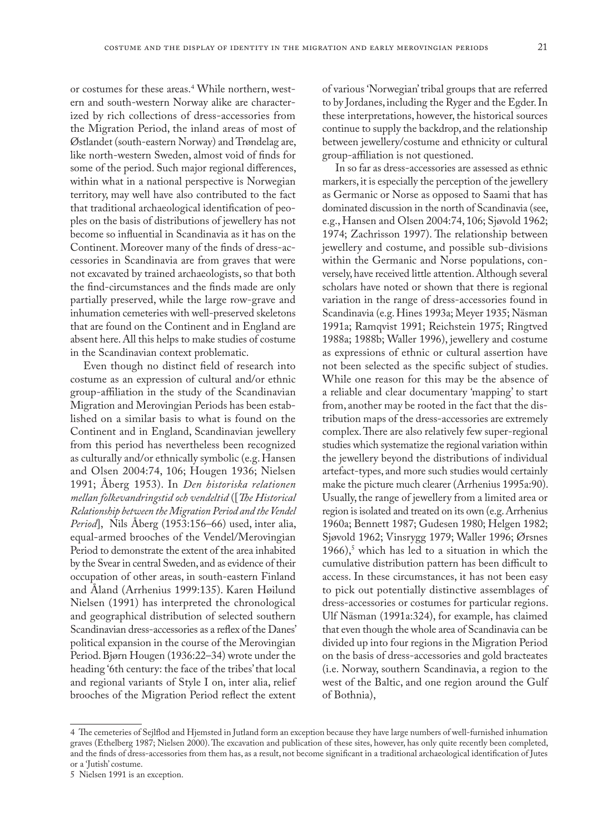or costumes for these areas.4 While northern, western and south-western Norway alike are characterized by rich collections of dress-accessories from the Migration Period, the inland areas of most of Østlandet (south-eastern Norway) and Trøndelag are, like north-western Sweden, almost void of finds for some of the period. Such major regional differences, within what in a national perspective is Norwegian territory, may well have also contributed to the fact that traditional archaeological identification of peoples on the basis of distributions of jewellery has not become so influential in Scandinavia as it has on the Continent. Moreover many of the finds of dress-accessories in Scandinavia are from graves that were not excavated by trained archaeologists, so that both the find-circumstances and the finds made are only partially preserved, while the large row-grave and inhumation cemeteries with well-preserved skeletons that are found on the Continent and in England are absent here. All this helps to make studies of costume in the Scandinavian context problematic.

Even though no distinct field of research into costume as an expression of cultural and/or ethnic group-affiliation in the study of the Scandinavian Migration and Merovingian Periods has been established on a similar basis to what is found on the Continent and in England, Scandinavian jewellery from this period has nevertheless been recognized as culturally and/or ethnically symbolic (e.g. Hansen and Olsen 2004:74, 106; Hougen 1936; Nielsen 1991; Åberg 1953). In *Den historiska relationen mellan folkevandringstid och vendeltid* ([*The Historical Relationship between the Migration Period and the Vendel Period*], Nils Åberg (1953:156–66) used, inter alia, equal-armed brooches of the Vendel/Merovingian Period to demonstrate the extent of the area inhabited by the Svear in central Sweden, and as evidence of their occupation of other areas, in south-eastern Finland and Åland (Arrhenius 1999:135). Karen Høilund Nielsen (1991) has interpreted the chronological and geographical distribution of selected southern Scandinavian dress-accessories as a reflex of the Danes' political expansion in the course of the Merovingian Period. Bjørn Hougen (1936:22–34) wrote under the heading '6th century: the face of the tribes' that local and regional variants of Style I on, inter alia, relief brooches of the Migration Period reflect the extent

of various 'Norwegian' tribal groups that are referred to by Jordanes, including the Ryger and the Egder. In these interpretations, however, the historical sources continue to supply the backdrop, and the relationship between jewellery/costume and ethnicity or cultural group-affiliation is not questioned.

In so far as dress-accessories are assessed as ethnic markers, it is especially the perception of the jewellery as Germanic or Norse as opposed to Saami that has dominated discussion in the north of Scandinavia (see, e.g., Hansen and Olsen 2004:74, 106; Sjøvold 1962; 1974; Zachrisson 1997). The relationship between jewellery and costume, and possible sub-divisions within the Germanic and Norse populations, conversely, have received little attention. Although several scholars have noted or shown that there is regional variation in the range of dress-accessories found in Scandinavia (e.g. Hines 1993a; Meyer 1935; Näsman 1991a; Ramqvist 1991; Reichstein 1975; Ringtved 1988a; 1988b; Waller 1996), jewellery and costume as expressions of ethnic or cultural assertion have not been selected as the specific subject of studies. While one reason for this may be the absence of a reliable and clear documentary 'mapping' to start from, another may be rooted in the fact that the distribution maps of the dress-accessories are extremely complex. There are also relatively few super-regional studies which systematize the regional variation within the jewellery beyond the distributions of individual artefact-types, and more such studies would certainly make the picture much clearer (Arrhenius 1995a:90). Usually, the range of jewellery from a limited area or region is isolated and treated on its own (e.g. Arrhenius 1960a; Bennett 1987; Gudesen 1980; Helgen 1982; Sjøvold 1962; Vinsrygg 1979; Waller 1996; Ørsnes  $1966$ ,<sup>5</sup> which has led to a situation in which the cumulative distribution pattern has been difficult to access. In these circumstances, it has not been easy to pick out potentially distinctive assemblages of dress-accessories or costumes for particular regions. Ulf Näsman (1991a:324), for example, has claimed that even though the whole area of Scandinavia can be divided up into four regions in the Migration Period on the basis of dress-accessories and gold bracteates (i.e. Norway, southern Scandinavia, a region to the west of the Baltic, and one region around the Gulf of Bothnia),

<sup>4</sup> The cemeteries of Sejlflod and Hjemsted in Jutland form an exception because they have large numbers of well-furnished inhumation graves (Ethelberg 1987; Nielsen 2000). The excavation and publication of these sites, however, has only quite recently been completed, and the finds of dress-accessories from them has, as a result, not become significant in a traditional archaeological identification of Jutes or a 'Jutish' costume.

<sup>5</sup> Nielsen 1991 is an exception.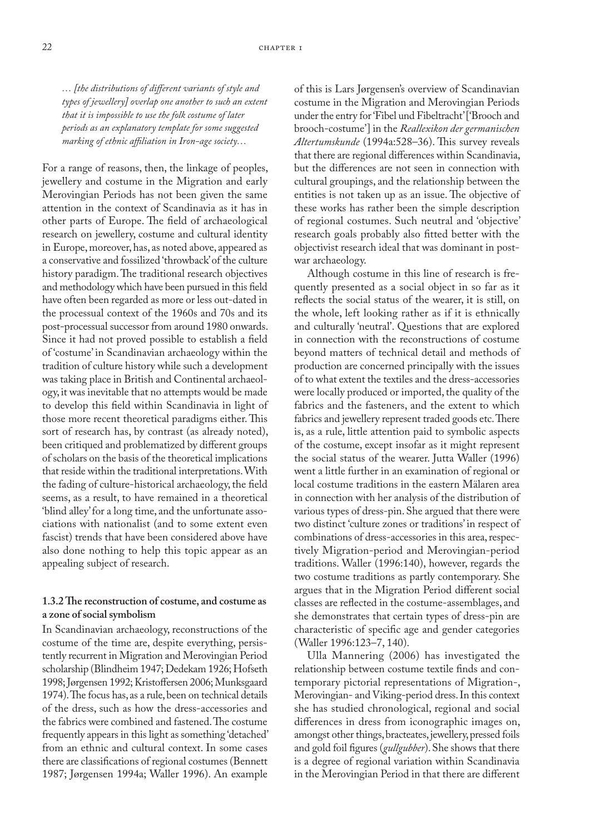*… [the distributions of different variants of style and types of jewellery] overlap one another to such an extent that it is impossible to use the folk costume of later periods as an explanatory template for some suggested marking of ethnic affiliation in Iron-age society…*

For a range of reasons, then, the linkage of peoples, jewellery and costume in the Migration and early Merovingian Periods has not been given the same attention in the context of Scandinavia as it has in other parts of Europe. The field of archaeological research on jewellery, costume and cultural identity in Europe, moreover, has, as noted above, appeared as a conservative and fossilized 'throwback' of the culture history paradigm. The traditional research objectives and methodology which have been pursued in this field have often been regarded as more or less out-dated in the processual context of the 1960s and 70s and its post-processual successor from around 1980 onwards. Since it had not proved possible to establish a field of 'costume' in Scandinavian archaeology within the tradition of culture history while such a development was taking place in British and Continental archaeology, it was inevitable that no attempts would be made to develop this field within Scandinavia in light of those more recent theoretical paradigms either. This sort of research has, by contrast (as already noted), been critiqued and problematized by different groups of scholars on the basis of the theoretical implications that reside within the traditional interpretations. With the fading of culture-historical archaeology, the field seems, as a result, to have remained in a theoretical 'blind alley' for a long time, and the unfortunate associations with nationalist (and to some extent even fascist) trends that have been considered above have also done nothing to help this topic appear as an appealing subject of research.

### **1.3.2 The reconstruction of costume, and costume as a zone of social symbolism**

In Scandinavian archaeology, reconstructions of the costume of the time are, despite everything, persistently recurrent in Migration and Merovingian Period scholarship (Blindheim 1947; Dedekam 1926; Hofseth 1998; Jørgensen 1992; Kristoffersen 2006; Munksgaard 1974). The focus has, as a rule, been on technical details of the dress, such as how the dress-accessories and the fabrics were combined and fastened. The costume frequently appears in this light as something 'detached' from an ethnic and cultural context. In some cases there are classifications of regional costumes (Bennett 1987; Jørgensen 1994a; Waller 1996). An example

of this is Lars Jørgensen's overview of Scandinavian costume in the Migration and Merovingian Periods under the entry for 'Fibel und Fibeltracht' ['Brooch and brooch-costume'] in the *Reallexikon der germanischen Altertumskunde* (1994a:528–36). This survey reveals that there are regional differences within Scandinavia, but the differences are not seen in connection with cultural groupings, and the relationship between the entities is not taken up as an issue. The objective of these works has rather been the simple description of regional costumes. Such neutral and 'objective' research goals probably also fitted better with the objectivist research ideal that was dominant in postwar archaeology.

Although costume in this line of research is frequently presented as a social object in so far as it reflects the social status of the wearer, it is still, on the whole, left looking rather as if it is ethnically and culturally 'neutral'. Questions that are explored in connection with the reconstructions of costume beyond matters of technical detail and methods of production are concerned principally with the issues of to what extent the textiles and the dress-accessories were locally produced or imported, the quality of the fabrics and the fasteners, and the extent to which fabrics and jewellery represent traded goods etc. There is, as a rule, little attention paid to symbolic aspects of the costume, except insofar as it might represent the social status of the wearer. Jutta Waller (1996) went a little further in an examination of regional or local costume traditions in the eastern Mälaren area in connection with her analysis of the distribution of various types of dress-pin. She argued that there were two distinct 'culture zones or traditions' in respect of combinations of dress-accessories in this area, respectively Migration-period and Merovingian-period traditions. Waller (1996:140), however, regards the two costume traditions as partly contemporary. She argues that in the Migration Period different social classes are reflected in the costume-assemblages, and she demonstrates that certain types of dress-pin are characteristic of specific age and gender categories (Waller 1996:123–7, 140).

Ulla Mannering (2006) has investigated the relationship between costume textile finds and contemporary pictorial representations of Migration-, Merovingian- and Viking-period dress. In this context she has studied chronological, regional and social differences in dress from iconographic images on, amongst other things, bracteates, jewellery, pressed foils and gold foil figures (*gullgubber*). She shows that there is a degree of regional variation within Scandinavia in the Merovingian Period in that there are different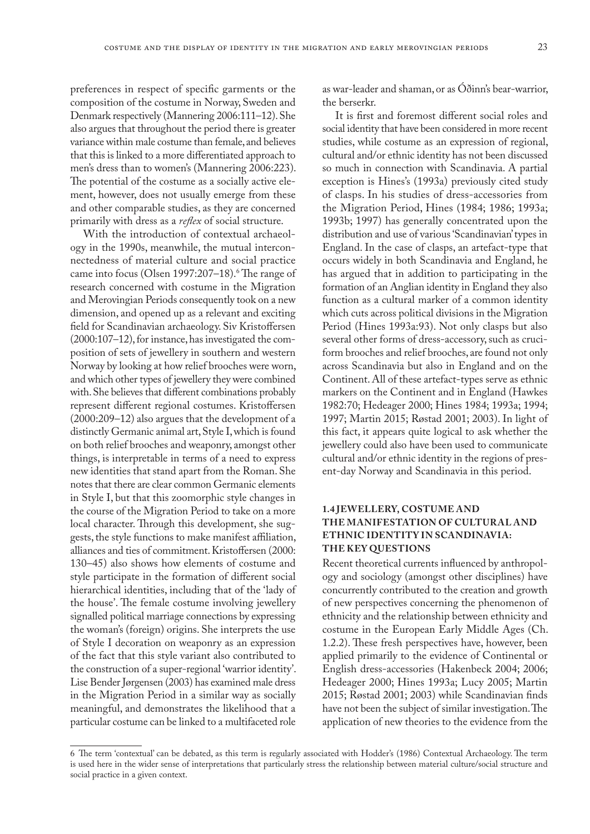preferences in respect of specific garments or the composition of the costume in Norway, Sweden and Denmark respectively (Mannering 2006:111–12). She also argues that throughout the period there is greater variance within male costume than female, and believes that this is linked to a more differentiated approach to men's dress than to women's (Mannering 2006:223). The potential of the costume as a socially active element, however, does not usually emerge from these and other comparable studies, as they are concerned primarily with dress as a *reflex* of social structure.

With the introduction of contextual archaeology in the 1990s, meanwhile, the mutual interconnectedness of material culture and social practice came into focus (Olsen 1997:207–18).6 The range of research concerned with costume in the Migration and Merovingian Periods consequently took on a new dimension, and opened up as a relevant and exciting field for Scandinavian archaeology. Siv Kristoffersen (2000:107–12), for instance, has investigated the composition of sets of jewellery in southern and western Norway by looking at how relief brooches were worn, and which other types of jewellery they were combined with. She believes that different combinations probably represent different regional costumes. Kristoffersen (2000:209–12) also argues that the development of a distinctly Germanic animal art, Style I, which is found on both relief brooches and weaponry, amongst other things, is interpretable in terms of a need to express new identities that stand apart from the Roman. She notes that there are clear common Germanic elements in Style I, but that this zoomorphic style changes in the course of the Migration Period to take on a more local character. Through this development, she suggests, the style functions to make manifest affiliation, alliances and ties of commitment. Kristoffersen (2000: 130–45) also shows how elements of costume and style participate in the formation of different social hierarchical identities, including that of the 'lady of the house'. The female costume involving jewellery signalled political marriage connections by expressing the woman's (foreign) origins. She interprets the use of Style I decoration on weaponry as an expression of the fact that this style variant also contributed to the construction of a super-regional 'warrior identity'. Lise Bender Jørgensen (2003) has examined male dress in the Migration Period in a similar way as socially meaningful, and demonstrates the likelihood that a particular costume can be linked to a multifaceted role

as war-leader and shaman, or as Óðinn's bear-warrior, the berserkr.

It is first and foremost different social roles and social identity that have been considered in more recent studies, while costume as an expression of regional, cultural and/or ethnic identity has not been discussed so much in connection with Scandinavia. A partial exception is Hines's (1993a) previously cited study of clasps. In his studies of dress-accessories from the Migration Period, Hines (1984; 1986; 1993a; 1993b; 1997) has generally concentrated upon the distribution and use of various 'Scandinavian' types in England. In the case of clasps, an artefact-type that occurs widely in both Scandinavia and England, he has argued that in addition to participating in the formation of an Anglian identity in England they also function as a cultural marker of a common identity which cuts across political divisions in the Migration Period (Hines 1993a:93). Not only clasps but also several other forms of dress-accessory, such as cruciform brooches and relief brooches, are found not only across Scandinavia but also in England and on the Continent. All of these artefact-types serve as ethnic markers on the Continent and in England (Hawkes 1982:70; Hedeager 2000; Hines 1984; 1993a; 1994; 1997; Martin 2015; Røstad 2001; 2003). In light of this fact, it appears quite logical to ask whether the jewellery could also have been used to communicate cultural and/or ethnic identity in the regions of present-day Norway and Scandinavia in this period.

### **1.4 JEWELLERY, COSTUME AND THE MANIFESTATION OF CULTURAL AND ETHNIC IDENTITY IN SCANDINAVIA: THE KEY QUESTIONS**

Recent theoretical currents influenced by anthropology and sociology (amongst other disciplines) have concurrently contributed to the creation and growth of new perspectives concerning the phenomenon of ethnicity and the relationship between ethnicity and costume in the European Early Middle Ages (Ch. 1.2.2). These fresh perspectives have, however, been applied primarily to the evidence of Continental or English dress-accessories (Hakenbeck 2004; 2006; Hedeager 2000; Hines 1993a; Lucy 2005; Martin 2015; Røstad 2001; 2003) while Scandinavian finds have not been the subject of similar investigation. The application of new theories to the evidence from the

<sup>6</sup> The term 'contextual' can be debated, as this term is regularly associated with Hodder's (1986) Contextual Archaeology. The term is used here in the wider sense of interpretations that particularly stress the relationship between material culture/social structure and social practice in a given context.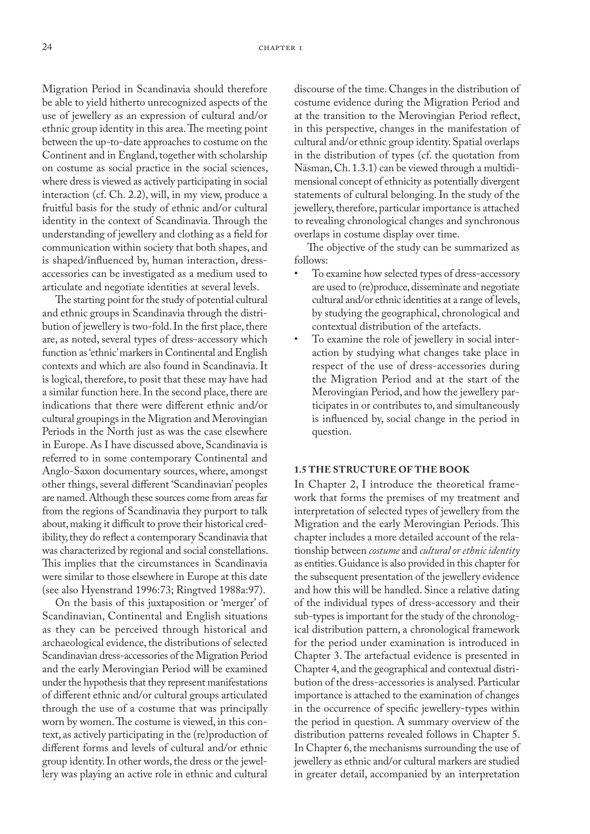Migration Period in Scandinavia should therefore be able to yield hitherto unrecognized aspects of the use of jewellery as an expression of cultural and/or ethnic group identity in this area. The meeting point between the up-to-date approaches to costume on the Continent and in England, together with scholarship on costume as social practice in the social sciences, where dress is viewed as actively participating in social interaction (cf. Ch. 2.2), will, in my view, produce a fruitful basis for the study of ethnic and/or cultural identity in the context of Scandinavia. Through the understanding of jewellery and clothing as a field for communication within society that both shapes, and is shaped/influenced by, human interaction, dressaccessories can be investigated as a medium used to articulate and negotiate identities at several levels.

The starting point for the study of potential cultural and ethnic groups in Scandinavia through the distribution of jewellery is two-fold. In the first place, there are, as noted, several types of dress-accessory which function as 'ethnic' markers in Continental and English contexts and which are also found in Scandinavia. It is logical, therefore, to posit that these may have had a similar function here. In the second place, there are indications that there were different ethnic and/or cultural groupings in the Migration and Merovingian Periods in the North just as was the case elsewhere in Europe. As I have discussed above, Scandinavia is referred to in some contemporary Continental and Anglo-Saxon documentary sources, where, amongst other things, several different 'Scandinavian' peoples are named. Although these sources come from areas far from the regions of Scandinavia they purport to talk about, making it difficult to prove their historical credibility, they do reflect a contemporary Scandinavia that was characterized by regional and social constellations. This implies that the circumstances in Scandinavia were similar to those elsewhere in Europe at this date (see also Hyenstrand 1996:73; Ringtved 1988a:97).

On the basis of this juxtaposition or 'merger' of Scandinavian, Continental and English situations as they can be perceived through historical and archaeological evidence, the distributions of selected Scandinavian dress-accessories of the Migration Period and the early Merovingian Period will be examined under the hypothesis that they represent manifestations of different ethnic and/or cultural groups articulated through the use of a costume that was principally worn by women. The costume is viewed, in this context, as actively participating in the (re)production of different forms and levels of cultural and/or ethnic group identity. In other words, the dress or the jewellery was playing an active role in ethnic and cultural

discourse of the time. Changes in the distribution of costume evidence during the Migration Period and at the transition to the Merovingian Period reflect, in this perspective, changes in the manifestation of cultural and/or ethnic group identity. Spatial overlaps in the distribution of types (cf. the quotation from Näsman, Ch. 1.3.1) can be viewed through a multidimensional concept of ethnicity as potentially divergent statements of cultural belonging. In the study of the jewellery, therefore, particular importance is attached to revealing chronological changes and synchronous overlaps in costume display over time.

The objective of the study can be summarized as follows:

- To examine how selected types of dress-accessory are used to (re)produce, disseminate and negotiate cultural and/or ethnic identities at a range of levels, by studying the geographical, chronological and contextual distribution of the artefacts.
- To examine the role of jewellery in social interaction by studying what changes take place in respect of the use of dress-accessories during the Migration Period and at the start of the Merovingian Period, and how the jewellery participates in or contributes to, and simultaneously is influenced by, social change in the period in question.

#### **1.5 THE STRUCTURE OF THE BOOK**

In Chapter 2, I introduce the theoretical framework that forms the premises of my treatment and interpretation of selected types of jewellery from the Migration and the early Merovingian Periods. This chapter includes a more detailed account of the relationship between *costume* and *cultural or ethnic identity* as entities. Guidance is also provided in this chapter for the subsequent presentation of the jewellery evidence and how this will be handled. Since a relative dating of the individual types of dress-accessory and their sub-types is important for the study of the chronological distribution pattern, a chronological framework for the period under examination is introduced in Chapter 3. The artefactual evidence is presented in Chapter 4, and the geographical and contextual distribution of the dress-accessories is analysed. Particular importance is attached to the examination of changes in the occurrence of specific jewellery-types within the period in question. A summary overview of the distribution patterns revealed follows in Chapter 5. In Chapter 6, the mechanisms surrounding the use of jewellery as ethnic and/or cultural markers are studied in greater detail, accompanied by an interpretation